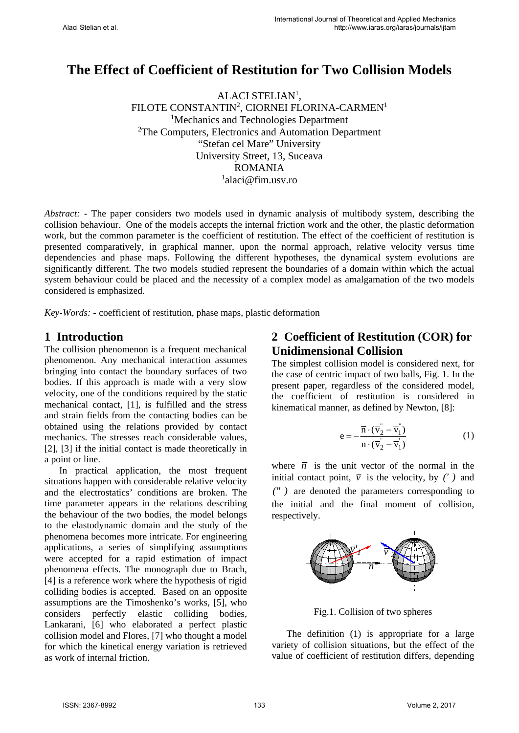# **The Effect of Coefficient of Restitution for Two Collision Models**

ALACI STELIAN<sup>1</sup>, FILOTE CONSTANTIN<sup>2</sup>, CIORNEI FLORINA-CARMEN<sup>1</sup> <sup>1</sup>Mechanics and Technologies Department <sup>2</sup>The Computers, Electronics and Automation Department "Stefan cel Mare" University University Street, 13, Suceava ROMANIA 1 alaci@fim.usv.ro

*Abstract: -* The paper considers two models used in dynamic analysis of multibody system, describing the collision behaviour. One of the models accepts the internal friction work and the other, the plastic deformation work, but the common parameter is the coefficient of restitution. The effect of the coefficient of restitution is presented comparatively, in graphical manner, upon the normal approach, relative velocity versus time dependencies and phase maps. Following the different hypotheses, the dynamical system evolutions are significantly different. The two models studied represent the boundaries of a domain within which the actual system behaviour could be placed and the necessity of a complex model as amalgamation of the two models considered is emphasized.

*Key-Words: -* coefficient of restitution, phase maps, plastic deformation

#### **1 Introduction**

The collision phenomenon is a frequent mechanical phenomenon. Any mechanical interaction assumes bringing into contact the boundary surfaces of two bodies. If this approach is made with a very slow velocity, one of the conditions required by the static mechanical contact, [1], is fulfilled and the stress and strain fields from the contacting bodies can be obtained using the relations provided by contact mechanics. The stresses reach considerable values, [2], [3] if the initial contact is made theoretically in a point or line.

In practical application, the most frequent situations happen with considerable relative velocity and the electrostatics' conditions are broken. The time parameter appears in the relations describing the behaviour of the two bodies, the model belongs to the elastodynamic domain and the study of the phenomena becomes more intricate. For engineering applications, a series of simplifying assumptions were accepted for a rapid estimation of impact phenomena effects. The monograph due to Brach, [4] is a reference work where the hypothesis of rigid colliding bodies is accepted. Based on an opposite assumptions are the Timoshenko's works, [5], who considers perfectly elastic colliding bodies, Lankarani, [6] who elaborated a perfect plastic collision model and Flores, [7] who thought a model for which the kinetical energy variation is retrieved as work of internal friction.

## **2 Coefficient of Restitution (COR) for Unidimensional Collision**

The simplest collision model is considered next, for the case of centric impact of two balls, Fig. 1. In the present paper, regardless of the considered model, the coefficient of restitution is considered in kinematical manner, as defined by Newton, [8]:

$$
e = -\frac{\overline{n} \cdot (\overline{v}_2 - \overline{v}_1)}{\overline{n} \cdot (\overline{v}_2 - \overline{v}_1)}\tag{1}
$$

where  $\bar{n}$  is the unit vector of the normal in the initial contact point,  $\overline{v}$  is the velocity, by *(')* and *)("* are denoted the parameters corresponding to the initial and the final moment of collision, respectively.



Fig.1. Collision of two spheres

The definition (1) is appropriate for a large variety of collision situations, but the effect of the value of coefficient of restitution differs, depending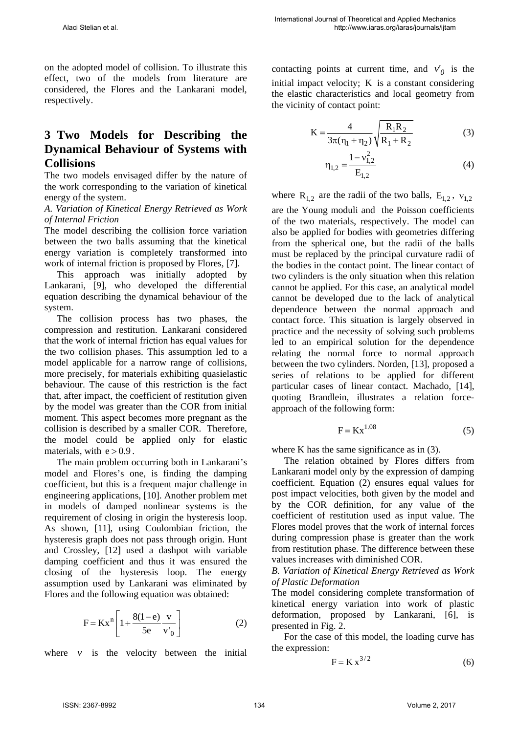on the adopted model of collision. To illustrate this effect, two of the models from literature are considered, the Flores and the Lankarani model, respectively.

## **3 Two Models for Describing the Dynamical Behaviour of Systems with Collisions**

The two models envisaged differ by the nature of the work corresponding to the variation of kinetical energy of the system.

*A. Variation of Kinetical Energy Retrieved as Work of Internal Friction* 

The model describing the collision force variation between the two balls assuming that the kinetical energy variation is completely transformed into work of internal friction is proposed by Flores, [7].

 This approach was initially adopted by Lankarani, [9], who developed the differential equation describing the dynamical behaviour of the system.

 The collision process has two phases, the compression and restitution. Lankarani considered that the work of internal friction has equal values for the two collision phases. This assumption led to a model applicable for a narrow range of collisions, more precisely, for materials exhibiting quasielastic behaviour. The cause of this restriction is the fact that, after impact, the coefficient of restitution given by the model was greater than the COR from initial moment. This aspect becomes more pregnant as the collision is described by a smaller COR. Therefore, the model could be applied only for elastic materials, with  $e > 0.9$ .

 The main problem occurring both in Lankarani's model and Flores's one, is finding the damping coefficient, but this is a frequent major challenge in engineering applications, [10]. Another problem met in models of damped nonlinear systems is the requirement of closing in origin the hysteresis loop. As shown, [11], using Coulombian friction, the hysteresis graph does not pass through origin. Hunt and Crossley, [12] used a dashpot with variable damping coefficient and thus it was ensured the closing of the hysteresis loop. The energy assumption used by Lankarani was eliminated by Flores and the following equation was obtained:

$$
F = Kx^{n} \left[ 1 + \frac{8(1-e)}{5e} \frac{v}{v'_{0}} \right]
$$
 (2)

where  $\nu$  is the velocity between the initial

contacting points at current time, and  $v'_0$  is the initial impact velocity; K is a constant considering the elastic characteristics and local geometry from the vicinity of contact point:

$$
K = \frac{4}{3\pi(\eta_1 + \eta_2)} \sqrt{\frac{R_1 R_2}{R_1 + R_2}}
$$
(3)

$$
\eta_{1,2} = \frac{1 - v_{1,2}^2}{E_{1,2}}\tag{4}
$$

where  $R_{1,2}$  are the radii of the two balls,  $E_{1,2}$ ,  $v_{1,2}$ are the Young moduli and the Poisson coefficients of the two materials, respectively. The model can also be applied for bodies with geometries differing from the spherical one, but the radii of the balls must be replaced by the principal curvature radii of the bodies in the contact point. The linear contact of two cylinders is the only situation when this relation cannot be applied. For this case, an analytical model cannot be developed due to the lack of analytical dependence between the normal approach and contact force. This situation is largely observed in practice and the necessity of solving such problems led to an empirical solution for the dependence relating the normal force to normal approach between the two cylinders. Norden, [13], proposed a series of relations to be applied for different particular cases of linear contact. Machado, [14], quoting Brandlein, illustrates a relation forceapproach of the following form:

$$
F = Kx^{1.08} \tag{5}
$$

where K has the same significance as in  $(3)$ .

 The relation obtained by Flores differs from Lankarani model only by the expression of damping coefficient. Equation (2) ensures equal values for post impact velocities, both given by the model and by the COR definition, for any value of the coefficient of restitution used as input value. The Flores model proves that the work of internal forces during compression phase is greater than the work from restitution phase. The difference between these values increases with diminished COR.

*B. Variation of Kinetical Energy Retrieved as Work of Plastic Deformation* 

The model considering complete transformation of kinetical energy variation into work of plastic deformation, proposed by Lankarani, [6], is presented in Fig. 2.

 For the case of this model, the loading curve has the expression:

$$
F = K x^{3/2} \tag{6}
$$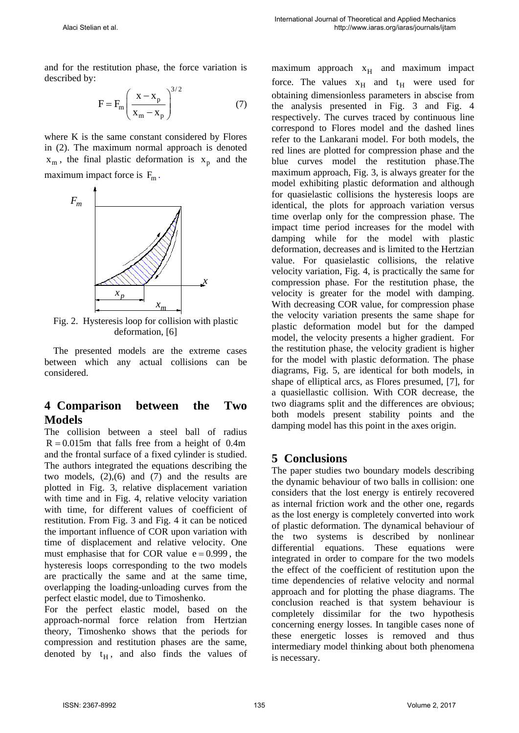and for the restitution phase, the force variation is described by:

$$
F = F_m \left( \frac{x - x_p}{x_m - x_p} \right)^{3/2}
$$
 (7)

where K is the same constant considered by Flores in (2). The maximum normal approach is denoted  $x_m$ , the final plastic deformation is  $x_p$  and the maximum impact force is  $F_m$ .



Fig. 2. Hysteresis loop for collision with plastic deformation, [6]

The presented models are the extreme cases between which any actual collisions can be considered.

### **4 Comparison between the Two Models**

The collision between a steel ball of radius  $R = 0.015$ m that falls free from a height of 0.4m and the frontal surface of a fixed cylinder is studied. The authors integrated the equations describing the two models,  $(2),(6)$  and  $(7)$  and the results are plotted in Fig. 3, relative displacement variation with time and in Fig. 4, relative velocity variation with time, for different values of coefficient of restitution. From Fig. 3 and Fig. 4 it can be noticed the important influence of COR upon variation with time of displacement and relative velocity. One must emphasise that for COR value  $e = 0.999$ , the hysteresis loops corresponding to the two models are practically the same and at the same time, overlapping the loading-unloading curves from the perfect elastic model, due to Timoshenko.

For the perfect elastic model, based on the approach-normal force relation from Hertzian theory, Timoshenko shows that the periods for compression and restitution phases are the same, denoted by  $t_H$ , and also finds the values of maximum approach  $x_H$  and maximum impact force. The values  $x_H$  and  $t_H$  were used for obtaining dimensionless parameters in abscise from the analysis presented in Fig. 3 and Fig. 4 respectively. The curves traced by continuous line correspond to Flores model and the dashed lines refer to the Lankarani model. For both models, the red lines are plotted for compression phase and the blue curves model the restitution phase.The maximum approach, Fig. 3, is always greater for the model exhibiting plastic deformation and although for quasielastic collisions the hysteresis loops are identical, the plots for approach variation versus time overlap only for the compression phase. The impact time period increases for the model with damping while for the model with plastic deformation, decreases and is limited to the Hertzian value. For quasielastic collisions, the relative velocity variation, Fig. 4, is practically the same for compression phase. For the restitution phase, the velocity is greater for the model with damping. With decreasing COR value, for compression phase the velocity variation presents the same shape for plastic deformation model but for the damped model, the velocity presents a higher gradient. For the restitution phase, the velocity gradient is higher for the model with plastic deformation. The phase diagrams, Fig. 5, are identical for both models, in shape of elliptical arcs, as Flores presumed, [7], for a quasiellastic collision. With COR decrease, the two diagrams split and the differences are obvious; both models present stability points and the damping model has this point in the axes origin.

### **5 Conclusions**

The paper studies two boundary models describing the dynamic behaviour of two balls in collision: one considers that the lost energy is entirely recovered as internal friction work and the other one, regards as the lost energy is completely converted into work of plastic deformation. The dynamical behaviour of the two systems is described by nonlinear differential equations. These equations were integrated in order to compare for the two models the effect of the coefficient of restitution upon the time dependencies of relative velocity and normal approach and for plotting the phase diagrams. The conclusion reached is that system behaviour is completely dissimilar for the two hypothesis concerning energy losses. In tangible cases none of these energetic losses is removed and thus intermediary model thinking about both phenomena is necessary.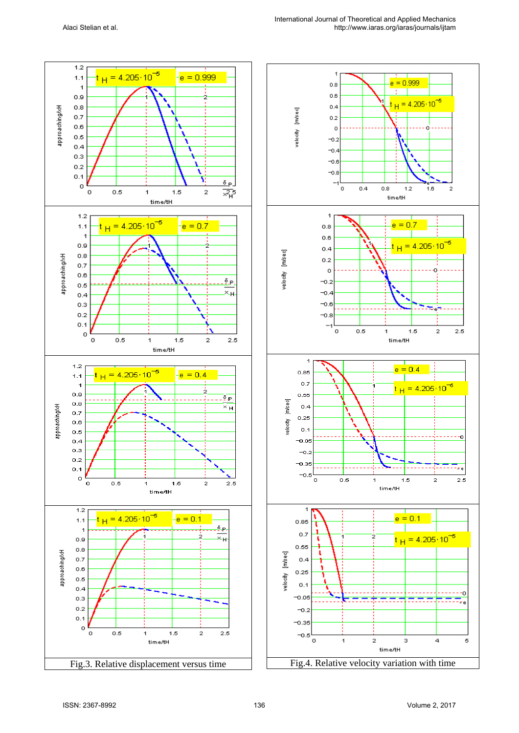